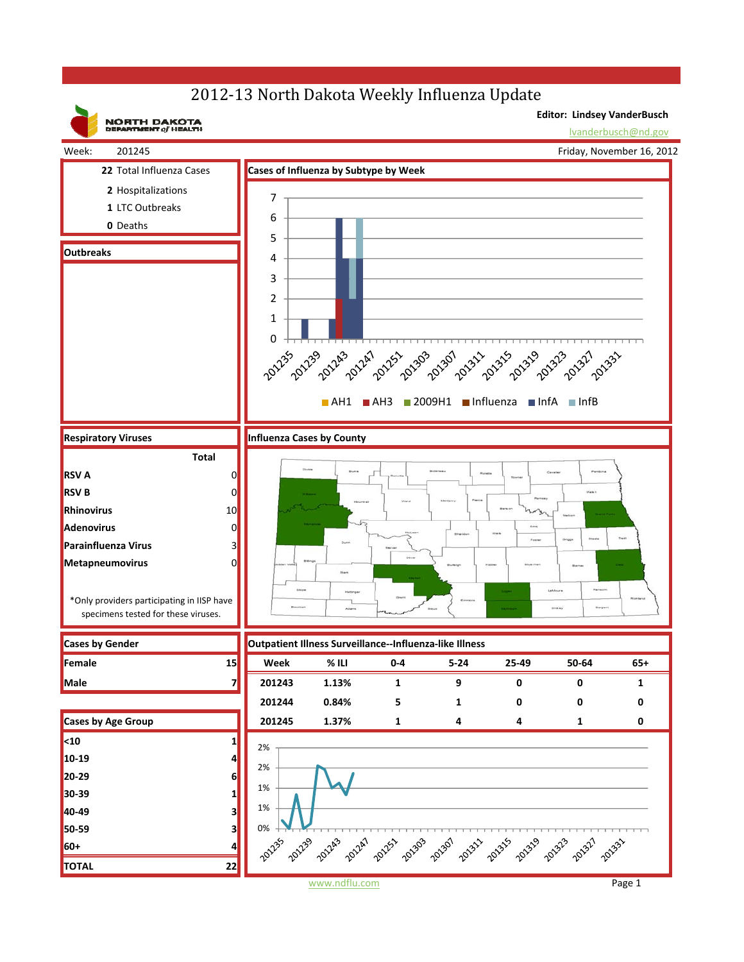## 2012-13 North Dakota Weekly Influenza Update